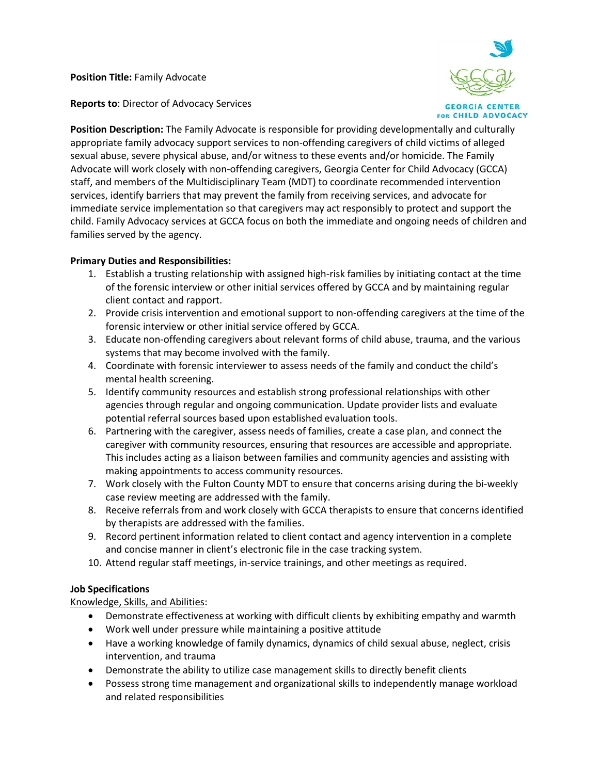**Position Title:** Family Advocate

**GEORGIA CENTER FOR CHILD ADVOCACY** 

**Reports to**: Director of Advocacy Services

**Position Description:** The Family Advocate is responsible for providing developmentally and culturally appropriate family advocacy support services to non-offending caregivers of child victims of alleged sexual abuse, severe physical abuse, and/or witness to these events and/or homicide. The Family Advocate will work closely with non-offending caregivers, Georgia Center for Child Advocacy (GCCA) staff, and members of the Multidisciplinary Team (MDT) to coordinate recommended intervention services, identify barriers that may prevent the family from receiving services, and advocate for immediate service implementation so that caregivers may act responsibly to protect and support the child. Family Advocacy services at GCCA focus on both the immediate and ongoing needs of children and families served by the agency.

# **Primary Duties and Responsibilities:**

- 1. Establish a trusting relationship with assigned high-risk families by initiating contact at the time of the forensic interview or other initial services offered by GCCA and by maintaining regular client contact and rapport.
- 2. Provide crisis intervention and emotional support to non-offending caregivers at the time of the forensic interview or other initial service offered by GCCA.
- 3. Educate non-offending caregivers about relevant forms of child abuse, trauma, and the various systems that may become involved with the family.
- 4. Coordinate with forensic interviewer to assess needs of the family and conduct the child's mental health screening.
- 5. Identify community resources and establish strong professional relationships with other agencies through regular and ongoing communication. Update provider lists and evaluate potential referral sources based upon established evaluation tools.
- 6. Partnering with the caregiver, assess needs of families, create a case plan, and connect the caregiver with community resources, ensuring that resources are accessible and appropriate. This includes acting as a liaison between families and community agencies and assisting with making appointments to access community resources.
- 7. Work closely with the Fulton County MDT to ensure that concerns arising during the bi-weekly case review meeting are addressed with the family.
- 8. Receive referrals from and work closely with GCCA therapists to ensure that concerns identified by therapists are addressed with the families.
- 9. Record pertinent information related to client contact and agency intervention in a complete and concise manner in client's electronic file in the case tracking system.
- 10. Attend regular staff meetings, in-service trainings, and other meetings as required.

# **Job Specifications**

# Knowledge, Skills, and Abilities:

- Demonstrate effectiveness at working with difficult clients by exhibiting empathy and warmth
- Work well under pressure while maintaining a positive attitude
- Have a working knowledge of family dynamics, dynamics of child sexual abuse, neglect, crisis intervention, and trauma
- Demonstrate the ability to utilize case management skills to directly benefit clients
- Possess strong time management and organizational skills to independently manage workload and related responsibilities